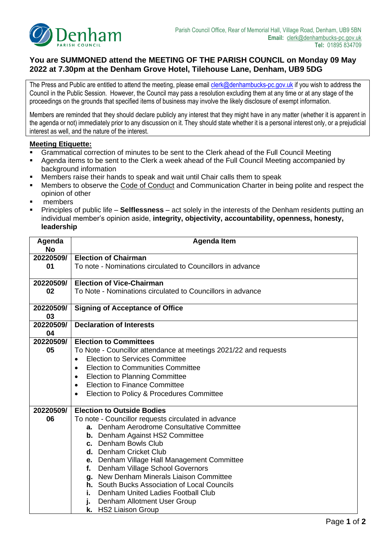

## **You are SUMMONED attend the MEETING OF THE PARISH COUNCIL on Monday 09 May 2022 at 7.30pm at the Denham Grove Hotel, Tilehouse Lane, Denham, UB9 5DG**

The Press and Public are entitled to attend the meeting, please emai[l clerk@denhambucks-pc.gov.uk](mailto:clerk@denhambucks-pc.gov.uk) if you wish to address the Council in the Public Session. However, the Council may pass a resolution excluding them at any time or at any stage of the proceedings on the grounds that specified items of business may involve the likely disclosure of exempt information.

Members are reminded that they should declare publicly any interest that they might have in any matter (whether it is apparent in the agenda or not) immediately prior to any discussion on it. They should state whether it is a personal interest only, or a prejudicial interest as well, and the nature of the interest.

## **Meeting Etiquette:**

- Grammatical correction of minutes to be sent to the Clerk ahead of the Full Council Meeting
- Agenda items to be sent to the Clerk a week ahead of the Full Council Meeting accompanied by background information
- Members raise their hands to speak and wait until Chair calls them to speak
- Members to observe the Code of Conduct and Communication Charter in being polite and respect the opinion of other
- members
- Principles of public life **Selflessness** act solely in the interests of the Denham residents putting an individual member's opinion aside, **integrity, objectivity, accountability, openness, honesty, leadership**

| Agenda<br><b>No</b> | <b>Agenda Item</b>                                               |  |  |  |  |  |
|---------------------|------------------------------------------------------------------|--|--|--|--|--|
|                     |                                                                  |  |  |  |  |  |
| 20220509/           | <b>Election of Chairman</b>                                      |  |  |  |  |  |
| 01                  | To note - Nominations circulated to Councillors in advance       |  |  |  |  |  |
| 20220509/           | <b>Election of Vice-Chairman</b>                                 |  |  |  |  |  |
| 02                  | To Note - Nominations circulated to Councillors in advance       |  |  |  |  |  |
|                     |                                                                  |  |  |  |  |  |
| 20220509/           | <b>Signing of Acceptance of Office</b>                           |  |  |  |  |  |
| 03                  |                                                                  |  |  |  |  |  |
| 20220509/           | <b>Declaration of Interests</b>                                  |  |  |  |  |  |
| 04                  |                                                                  |  |  |  |  |  |
| 20220509/           | <b>Election to Committees</b>                                    |  |  |  |  |  |
| 05                  | To Note - Councillor attendance at meetings 2021/22 and requests |  |  |  |  |  |
|                     | <b>Election to Services Committee</b>                            |  |  |  |  |  |
|                     | <b>Election to Communities Committee</b>                         |  |  |  |  |  |
|                     | <b>Election to Planning Committee</b><br>$\bullet$               |  |  |  |  |  |
|                     | <b>Election to Finance Committee</b><br>$\bullet$                |  |  |  |  |  |
|                     | Election to Policy & Procedures Committee                        |  |  |  |  |  |
|                     |                                                                  |  |  |  |  |  |
| 20220509/           | <b>Election to Outside Bodies</b>                                |  |  |  |  |  |
| 06                  | To note - Councillor requests circulated in advance              |  |  |  |  |  |
|                     | a. Denham Aerodrome Consultative Committee                       |  |  |  |  |  |
|                     | <b>b.</b> Denham Against HS2 Committee                           |  |  |  |  |  |
|                     | c. Denham Bowls Club                                             |  |  |  |  |  |
|                     | d. Denham Cricket Club                                           |  |  |  |  |  |
|                     | e. Denham Village Hall Management Committee                      |  |  |  |  |  |
|                     | Denham Village School Governors<br>f.                            |  |  |  |  |  |
|                     | g. New Denham Minerals Liaison Committee                         |  |  |  |  |  |
|                     | <b>h.</b> South Bucks Association of Local Councils              |  |  |  |  |  |
|                     | Denham United Ladies Football Club<br>i.                         |  |  |  |  |  |
|                     | Denham Allotment User Group<br>j.                                |  |  |  |  |  |
|                     | <b>HS2 Liaison Group</b><br>k.                                   |  |  |  |  |  |